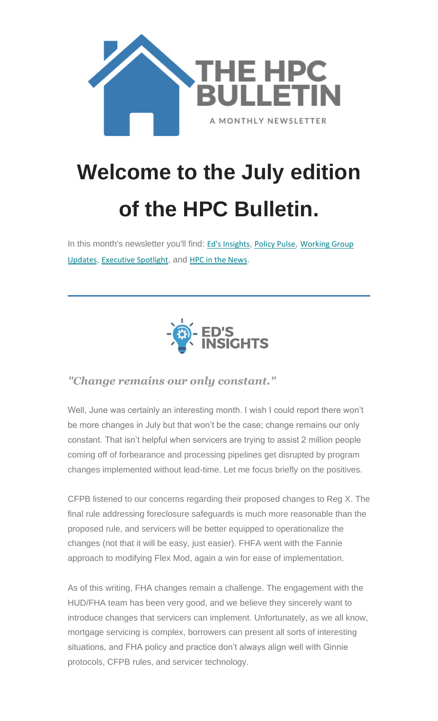

# **Welcome to the July edition of the HPC Bulletin.**

In this month's newsletter you'll find: Ed's [Insights](#page-0-0), [Policy Pulse](#page-2-0), Working Group [Updates](#page-4-0), [Executive](#page-6-0) Spotlight, and [HPC in the News](#page-7-0).



#### <span id="page-0-0"></span>*"Change remains our only constant."*

Well, June was certainly an interesting month. I wish I could report there won't be more changes in July but that won't be the case; change remains our only constant. That isn't helpful when servicers are trying to assist 2 million people coming off of forbearance and processing pipelines get disrupted by program changes implemented without lead-time. Let me focus briefly on the positives.

CFPB listened to our concerns regarding their proposed changes to Reg X. The final rule addressing foreclosure safeguards is much more reasonable than the proposed rule, and servicers will be better equipped to operationalize the changes (not that it will be easy, just easier). FHFA went with the Fannie approach to modifying Flex Mod, again a win for ease of implementation.

As of this writing, FHA changes remain a challenge. The engagement with the HUD/FHA team has been very good, and we believe they sincerely want to introduce changes that servicers can implement. Unfortunately, as we all know, mortgage servicing is complex, borrowers can present all sorts of interesting situations, and FHA policy and practice don't always align well with Ginnie protocols, CFPB rules, and servicer technology.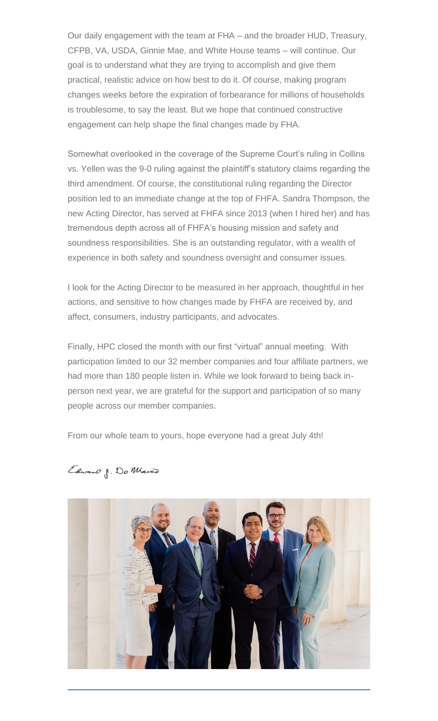Our daily engagement with the team at FHA – and the broader HUD, Treasury, CFPB, VA, USDA, Ginnie Mae, and White House teams – will continue. Our goal is to understand what they are trying to accomplish and give them practical, realistic advice on how best to do it. Of course, making program changes weeks before the expiration of forbearance for millions of households is troublesome, to say the least. But we hope that continued constructive engagement can help shape the final changes made by FHA.

Somewhat overlooked in the coverage of the Supreme Court's ruling in Collins vs. Yellen was the 9-0 ruling against the plaintiff's statutory claims regarding the third amendment. Of course, the constitutional ruling regarding the Director position led to an immediate change at the top of FHFA. Sandra Thompson, the new Acting Director, has served at FHFA since 2013 (when I hired her) and has tremendous depth across all of FHFA's housing mission and safety and soundness responsibilities. She is an outstanding regulator, with a wealth of experience in both safety and soundness oversight and consumer issues.

I look for the Acting Director to be measured in her approach, thoughtful in her actions, and sensitive to how changes made by FHFA are received by, and affect, consumers, industry participants, and advocates.

Finally, HPC closed the month with our first "virtual" annual meeting. With participation limited to our 32 member companies and four affiliate partners, we had more than 180 people listen in. While we look forward to being back inperson next year, we are grateful for the support and participation of so many people across our member companies.

From our whole team to yours, hope everyone had a great July 4th!

Edward J. Do Marco

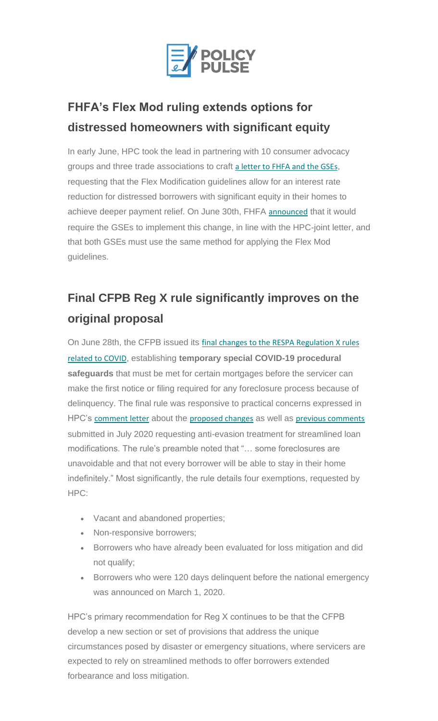

#### <span id="page-2-0"></span>**FHFA's Flex Mod ruling extends options for distressed homeowners with significant equity**

In early June, HPC took the lead in partnering with 10 consumer advocacy groups and three trade associations to craft [a letter to FHFA and the GSEs](https://nam12.safelinks.protection.outlook.com/?url=https%3A%2F%2Fhousingpolicycouncil.us4.list-manage.com%2Ftrack%2Fclick%3Fu%3D5140623077e4523696cc45400%26id%3Dc9f1cac8ae%26e%3D873066dfb9&data=04%7C01%7Ccatherine.costakos%40edelman.com%7C8dd30e2809d54e4b899408d940715768%7Cb824bfb3918e43c2bb1cdcc1ba40a82b%7C0%7C0%7C637611679288689942%7CUnknown%7CTWFpbGZsb3d8eyJWIjoiMC4wLjAwMDAiLCJQIjoiV2luMzIiLCJBTiI6Ik1haWwiLCJXVCI6Mn0%3D%7C1000&sdata=33%2BxHI2BD2PGkvd26nT2X%2FochHU%2BrBGkqUtQ1sZQ4ws%3D&reserved=0), requesting that the Flex Modification guidelines allow for an interest rate reduction for distressed borrowers with significant equity in their homes to achieve deeper payment relief. On June 30th, FHFA [announced](https://nam12.safelinks.protection.outlook.com/?url=https%3A%2F%2Fhousingpolicycouncil.us4.list-manage.com%2Ftrack%2Fclick%3Fu%3D5140623077e4523696cc45400%26id%3Dd008ba3a07%26e%3D873066dfb9&data=04%7C01%7Ccatherine.costakos%40edelman.com%7C8dd30e2809d54e4b899408d940715768%7Cb824bfb3918e43c2bb1cdcc1ba40a82b%7C0%7C0%7C637611679288699897%7CUnknown%7CTWFpbGZsb3d8eyJWIjoiMC4wLjAwMDAiLCJQIjoiV2luMzIiLCJBTiI6Ik1haWwiLCJXVCI6Mn0%3D%7C1000&sdata=reCPNtNZrz1i3cy9mDvu0YHkXlvK8Ha1ZQZ5eKQNDPw%3D&reserved=0) that it would require the GSEs to implement this change, in line with the HPC-joint letter, and that both GSEs must use the same method for applying the Flex Mod guidelines.

# **Final CFPB Reg X rule significantly improves on the original proposal**

On June 28th, the CFPB issued its final changes to the RESPA Regulation X rules [related to COVID](https://nam12.safelinks.protection.outlook.com/?url=https%3A%2F%2Fhousingpolicycouncil.us4.list-manage.com%2Ftrack%2Fclick%3Fu%3D5140623077e4523696cc45400%26id%3D0700765f9c%26e%3D873066dfb9&data=04%7C01%7Ccatherine.costakos%40edelman.com%7C8dd30e2809d54e4b899408d940715768%7Cb824bfb3918e43c2bb1cdcc1ba40a82b%7C0%7C0%7C637611679288699897%7CUnknown%7CTWFpbGZsb3d8eyJWIjoiMC4wLjAwMDAiLCJQIjoiV2luMzIiLCJBTiI6Ik1haWwiLCJXVCI6Mn0%3D%7C1000&sdata=WGNZdUVCZPm2fK5t9iynEvLlCZjkJPsoJJH3J%2BqErAo%3D&reserved=0), establishing **temporary special COVID-19 procedural safeguards** that must be met for certain mortgages before the servicer can make the first notice or filing required for any foreclosure process because of delinquency. The final rule was responsive to practical concerns expressed in HPC's [comment letter](https://nam12.safelinks.protection.outlook.com/?url=https%3A%2F%2Fhousingpolicycouncil.us4.list-manage.com%2Ftrack%2Fclick%3Fu%3D5140623077e4523696cc45400%26id%3Dfe951ca70a%26e%3D873066dfb9&data=04%7C01%7Ccatherine.costakos%40edelman.com%7C8dd30e2809d54e4b899408d940715768%7Cb824bfb3918e43c2bb1cdcc1ba40a82b%7C0%7C0%7C637611679288699897%7CUnknown%7CTWFpbGZsb3d8eyJWIjoiMC4wLjAwMDAiLCJQIjoiV2luMzIiLCJBTiI6Ik1haWwiLCJXVCI6Mn0%3D%7C1000&sdata=t5JWIGidW8YylRBlH6g8xoBFV0N%2BDWLxw1wtveO9Bgc%3D&reserved=0) about the [proposed changes](https://nam12.safelinks.protection.outlook.com/?url=https%3A%2F%2Fhousingpolicycouncil.us4.list-manage.com%2Ftrack%2Fclick%3Fu%3D5140623077e4523696cc45400%26id%3D0723a51182%26e%3D873066dfb9&data=04%7C01%7Ccatherine.costakos%40edelman.com%7C8dd30e2809d54e4b899408d940715768%7Cb824bfb3918e43c2bb1cdcc1ba40a82b%7C0%7C0%7C637611679288709850%7CUnknown%7CTWFpbGZsb3d8eyJWIjoiMC4wLjAwMDAiLCJQIjoiV2luMzIiLCJBTiI6Ik1haWwiLCJXVCI6Mn0%3D%7C1000&sdata=EK98rliTgSuNM6YMftm2IR93hXYVp7AwFTbfc4wDqHU%3D&reserved=0) as well as [previous comments](https://nam12.safelinks.protection.outlook.com/?url=https%3A%2F%2Fhousingpolicycouncil.us4.list-manage.com%2Ftrack%2Fclick%3Fu%3D5140623077e4523696cc45400%26id%3D5122e8851a%26e%3D873066dfb9&data=04%7C01%7Ccatherine.costakos%40edelman.com%7C8dd30e2809d54e4b899408d940715768%7Cb824bfb3918e43c2bb1cdcc1ba40a82b%7C0%7C0%7C637611679288709850%7CUnknown%7CTWFpbGZsb3d8eyJWIjoiMC4wLjAwMDAiLCJQIjoiV2luMzIiLCJBTiI6Ik1haWwiLCJXVCI6Mn0%3D%7C1000&sdata=dsRcZuZ5leXfkmZWNvrfqMqrU%2B3f%2FtnCQzPd0CQQ9GY%3D&reserved=0) submitted in July 2020 requesting anti-evasion treatment for streamlined loan modifications. The rule's preamble noted that "… some foreclosures are unavoidable and that not every borrower will be able to stay in their home indefinitely." Most significantly, the rule details four exemptions, requested by HPC:

- Vacant and abandoned properties;
- Non-responsive borrowers;
- Borrowers who have already been evaluated for loss mitigation and did not qualify;
- Borrowers who were 120 days delinquent before the national emergency was announced on March 1, 2020.

HPC's primary recommendation for Reg X continues to be that the CFPB develop a new section or set of provisions that address the unique circumstances posed by disaster or emergency situations, where servicers are expected to rely on streamlined methods to offer borrowers extended forbearance and loss mitigation.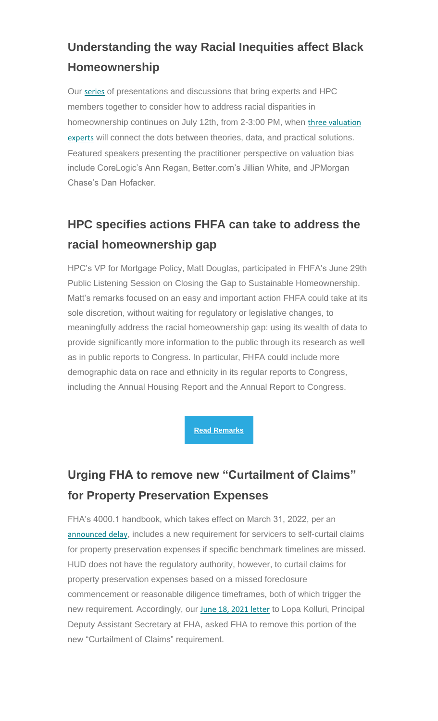### **Understanding the way Racial Inequities affect Black Homeownership**

Our [series](https://nam12.safelinks.protection.outlook.com/?url=https%3A%2F%2Fhousingpolicycouncil.us4.list-manage.com%2Ftrack%2Fclick%3Fu%3D5140623077e4523696cc45400%26id%3D328f188df4%26e%3D873066dfb9&data=04%7C01%7Ccatherine.costakos%40edelman.com%7C8dd30e2809d54e4b899408d940715768%7Cb824bfb3918e43c2bb1cdcc1ba40a82b%7C0%7C0%7C637611679288719805%7CUnknown%7CTWFpbGZsb3d8eyJWIjoiMC4wLjAwMDAiLCJQIjoiV2luMzIiLCJBTiI6Ik1haWwiLCJXVCI6Mn0%3D%7C1000&sdata=SPTSE7gOYOc5bHRqgfbka1kOkhosRRxGUnwbYg%2B8%2BRY%3D&reserved=0) of presentations and discussions that bring experts and HPC members together to consider how to address racial disparities in homeownership continues on July 12th, from 2-3:00 PM, when [three valuation](https://nam12.safelinks.protection.outlook.com/?url=https%3A%2F%2Fhousingpolicycouncil.us4.list-manage.com%2Ftrack%2Fclick%3Fu%3D5140623077e4523696cc45400%26id%3Dee7baa600e%26e%3D873066dfb9&data=04%7C01%7Ccatherine.costakos%40edelman.com%7C8dd30e2809d54e4b899408d940715768%7Cb824bfb3918e43c2bb1cdcc1ba40a82b%7C0%7C0%7C637611679288719805%7CUnknown%7CTWFpbGZsb3d8eyJWIjoiMC4wLjAwMDAiLCJQIjoiV2luMzIiLCJBTiI6Ik1haWwiLCJXVCI6Mn0%3D%7C1000&sdata=%2BRc3LbE%2F6Hj7qg4CDpYNpUTKAvYl2lCrGIh16dDPhiM%3D&reserved=0)  [experts](https://nam12.safelinks.protection.outlook.com/?url=https%3A%2F%2Fhousingpolicycouncil.us4.list-manage.com%2Ftrack%2Fclick%3Fu%3D5140623077e4523696cc45400%26id%3Dee7baa600e%26e%3D873066dfb9&data=04%7C01%7Ccatherine.costakos%40edelman.com%7C8dd30e2809d54e4b899408d940715768%7Cb824bfb3918e43c2bb1cdcc1ba40a82b%7C0%7C0%7C637611679288719805%7CUnknown%7CTWFpbGZsb3d8eyJWIjoiMC4wLjAwMDAiLCJQIjoiV2luMzIiLCJBTiI6Ik1haWwiLCJXVCI6Mn0%3D%7C1000&sdata=%2BRc3LbE%2F6Hj7qg4CDpYNpUTKAvYl2lCrGIh16dDPhiM%3D&reserved=0) will connect the dots between theories, data, and practical solutions. Featured speakers presenting the practitioner perspective on valuation bias include CoreLogic's Ann Regan, Better.com's Jillian White, and JPMorgan Chase's Dan Hofacker.

#### **HPC specifies actions FHFA can take to address the racial homeownership gap**

HPC's VP for Mortgage Policy, Matt Douglas, participated in FHFA's June 29th Public Listening Session on Closing the Gap to Sustainable Homeownership. Matt's remarks focused on an easy and important action FHFA could take at its sole discretion, without waiting for regulatory or legislative changes, to meaningfully address the racial homeownership gap: using its wealth of data to provide significantly more information to the public through its research as well as in public reports to Congress. In particular, FHFA could include more demographic data on race and ethnicity in its regular reports to Congress, including the Annual Housing Report and the Annual Report to Congress.

**[Read Remarks](https://nam12.safelinks.protection.outlook.com/?url=https%3A%2F%2Fhousingpolicycouncil.us4.list-manage.com%2Ftrack%2Fclick%3Fu%3D5140623077e4523696cc45400%26id%3Df1315ea765%26e%3D873066dfb9&data=04%7C01%7Ccatherine.costakos%40edelman.com%7C8dd30e2809d54e4b899408d940715768%7Cb824bfb3918e43c2bb1cdcc1ba40a82b%7C0%7C0%7C637611679288729762%7CUnknown%7CTWFpbGZsb3d8eyJWIjoiMC4wLjAwMDAiLCJQIjoiV2luMzIiLCJBTiI6Ik1haWwiLCJXVCI6Mn0%3D%7C1000&sdata=sXMXAS21l5o4mAIRc%2FE1tWcnpHmY%2BTQHJayBYAxOB%2F0%3D&reserved=0)**

# **Urging FHA to remove new "Curtailment of Claims" for Property Preservation Expenses**

FHA's 4000.1 handbook, which takes effect on March 31, 2022, per an [announced delay](https://nam12.safelinks.protection.outlook.com/?url=https%3A%2F%2Fhousingpolicycouncil.us4.list-manage.com%2Ftrack%2Fclick%3Fu%3D5140623077e4523696cc45400%26id%3D492c12a013%26e%3D873066dfb9&data=04%7C01%7Ccatherine.costakos%40edelman.com%7C8dd30e2809d54e4b899408d940715768%7Cb824bfb3918e43c2bb1cdcc1ba40a82b%7C0%7C0%7C637611679288729762%7CUnknown%7CTWFpbGZsb3d8eyJWIjoiMC4wLjAwMDAiLCJQIjoiV2luMzIiLCJBTiI6Ik1haWwiLCJXVCI6Mn0%3D%7C1000&sdata=AjJoTxitV9QpZKAMsqDZTwgPjbjGWwVmfj9V4N1ZcGs%3D&reserved=0), includes a new requirement for servicers to self-curtail claims for property preservation expenses if specific benchmark timelines are missed. HUD does not have the regulatory authority, however, to curtail claims for property preservation expenses based on a missed foreclosure commencement or reasonable diligence timeframes, both of which trigger the new requirement. Accordingly, our [June 18, 2021 letter](https://nam12.safelinks.protection.outlook.com/?url=https%3A%2F%2Fhousingpolicycouncil.us4.list-manage.com%2Ftrack%2Fclick%3Fu%3D5140623077e4523696cc45400%26id%3Dcd19ddc565%26e%3D873066dfb9&data=04%7C01%7Ccatherine.costakos%40edelman.com%7C8dd30e2809d54e4b899408d940715768%7Cb824bfb3918e43c2bb1cdcc1ba40a82b%7C0%7C0%7C637611679288729762%7CUnknown%7CTWFpbGZsb3d8eyJWIjoiMC4wLjAwMDAiLCJQIjoiV2luMzIiLCJBTiI6Ik1haWwiLCJXVCI6Mn0%3D%7C1000&sdata=OgnkzWHiTmXzDfUcKEEJOwOuMB36ahpAlpwLWOKeNZA%3D&reserved=0) to Lopa Kolluri, Principal Deputy Assistant Secretary at FHA, asked FHA to remove this portion of the new "Curtailment of Claims" requirement.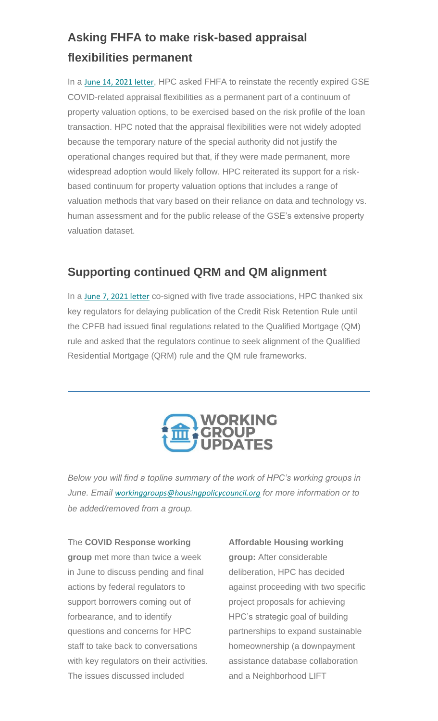# **Asking FHFA to make risk-based appraisal flexibilities permanent**

In a [June 14, 2021 letter](https://nam12.safelinks.protection.outlook.com/?url=https%3A%2F%2Fhousingpolicycouncil.us4.list-manage.com%2Ftrack%2Fclick%3Fu%3D5140623077e4523696cc45400%26id%3D2954883f7b%26e%3D873066dfb9&data=04%7C01%7Ccatherine.costakos%40edelman.com%7C8dd30e2809d54e4b899408d940715768%7Cb824bfb3918e43c2bb1cdcc1ba40a82b%7C0%7C0%7C637611679288739718%7CUnknown%7CTWFpbGZsb3d8eyJWIjoiMC4wLjAwMDAiLCJQIjoiV2luMzIiLCJBTiI6Ik1haWwiLCJXVCI6Mn0%3D%7C1000&sdata=l0kIvNLQEV%2FBssw2qTl5oE2Zx%2BHxehO1u3wc9%2BzY%2F%2B8%3D&reserved=0), HPC asked FHFA to reinstate the recently expired GSE COVID-related appraisal flexibilities as a permanent part of a continuum of property valuation options, to be exercised based on the risk profile of the loan transaction. HPC noted that the appraisal flexibilities were not widely adopted because the temporary nature of the special authority did not justify the operational changes required but that, if they were made permanent, more widespread adoption would likely follow. HPC reiterated its support for a riskbased continuum for property valuation options that includes a range of valuation methods that vary based on their reliance on data and technology vs. human assessment and for the public release of the GSE's extensive property valuation dataset.

#### **Supporting continued QRM and QM alignment**

In a [June 7, 2021 letter](https://nam12.safelinks.protection.outlook.com/?url=https%3A%2F%2Fhousingpolicycouncil.us4.list-manage.com%2Ftrack%2Fclick%3Fu%3D5140623077e4523696cc45400%26id%3D66746854e6%26e%3D873066dfb9&data=04%7C01%7Ccatherine.costakos%40edelman.com%7C8dd30e2809d54e4b899408d940715768%7Cb824bfb3918e43c2bb1cdcc1ba40a82b%7C0%7C0%7C637611679288739718%7CUnknown%7CTWFpbGZsb3d8eyJWIjoiMC4wLjAwMDAiLCJQIjoiV2luMzIiLCJBTiI6Ik1haWwiLCJXVCI6Mn0%3D%7C1000&sdata=4RdnuEFEj%2B5qoBWF3mhkNlwomoYQgLYUZ3tGpgF5sWE%3D&reserved=0) co-signed with five trade associations, HPC thanked six key regulators for delaying publication of the Credit Risk Retention Rule until the CPFB had issued final regulations related to the Qualified Mortgage (QM) rule and asked that the regulators continue to seek alignment of the Qualified Residential Mortgage (QRM) rule and the QM rule frameworks.



<span id="page-4-0"></span>*Below you will find a topline summary of the work of HPC's working groups in June. Email [workinggroups@housingpolicycouncil.org](mailto:workinggroups@housingpolicycouncil.org) for more information or to be added/removed from a group.*

The **COVID Response working group** met more than twice a week in June to discuss pending and final actions by federal regulators to support borrowers coming out of forbearance, and to identify questions and concerns for HPC staff to take back to conversations with key regulators on their activities. The issues discussed included

**Affordable Housing working group:** After considerable deliberation, HPC has decided against proceeding with two specific project proposals for achieving HPC's strategic goal of building partnerships to expand sustainable homeownership (a downpayment assistance database collaboration and a Neighborhood LIFT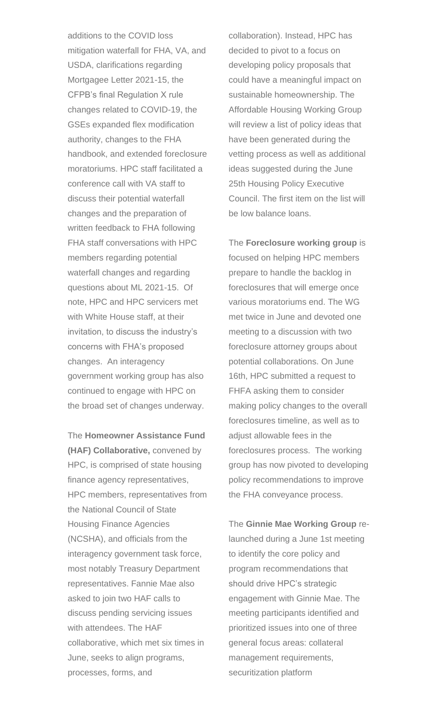additions to the COVID loss mitigation waterfall for FHA, VA, and USDA, clarifications regarding Mortgagee Letter 2021-15, the CFPB's final Regulation X rule changes related to COVID-19, the GSEs expanded flex modification authority, changes to the FHA handbook, and extended foreclosure moratoriums. HPC staff facilitated a conference call with VA staff to discuss their potential waterfall changes and the preparation of written feedback to FHA following FHA staff conversations with HPC members regarding potential waterfall changes and regarding questions about ML 2021-15. Of note, HPC and HPC servicers met with White House staff, at their invitation, to discuss the industry's concerns with FHA's proposed changes. An interagency government working group has also continued to engage with HPC on the broad set of changes underway.

The **Homeowner Assistance Fund (HAF) Collaborative,** convened by HPC, is comprised of state housing finance agency representatives, HPC members, representatives from the National Council of State Housing Finance Agencies (NCSHA), and officials from the interagency government task force, most notably Treasury Department representatives. Fannie Mae also asked to join two HAF calls to discuss pending servicing issues with attendees. The HAF collaborative, which met six times in June, seeks to align programs, processes, forms, and

collaboration). Instead, HPC has decided to pivot to a focus on developing policy proposals that could have a meaningful impact on sustainable homeownership. The Affordable Housing Working Group will review a list of policy ideas that have been generated during the vetting process as well as additional ideas suggested during the June 25th Housing Policy Executive Council. The first item on the list will be low balance loans.

The **Foreclosure working group** is focused on helping HPC members prepare to handle the backlog in foreclosures that will emerge once various moratoriums end. The WG met twice in June and devoted one meeting to a discussion with two foreclosure attorney groups about potential collaborations. On June 16th, HPC submitted a request to FHFA asking them to consider making policy changes to the overall foreclosures timeline, as well as to adjust allowable fees in the foreclosures process. The working group has now pivoted to developing policy recommendations to improve the FHA conveyance process.

The **Ginnie Mae Working Group** relaunched during a June 1st meeting to identify the core policy and program recommendations that should drive HPC's strategic engagement with Ginnie Mae. The meeting participants identified and prioritized issues into one of three general focus areas: collateral management requirements, securitization platform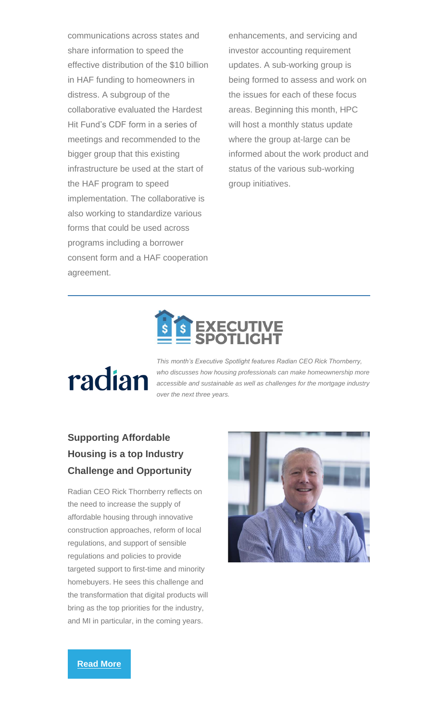communications across states and share information to speed the effective distribution of the \$10 billion in HAF funding to homeowners in distress. A subgroup of the collaborative evaluated the Hardest Hit Fund's CDF form in a series of meetings and recommended to the bigger group that this existing infrastructure be used at the start of the HAF program to speed implementation. The collaborative is also working to standardize various forms that could be used across programs including a borrower consent form and a HAF cooperation agreement.

enhancements, and servicing and investor accounting requirement updates. A sub-working group is being formed to assess and work on the issues for each of these focus areas. Beginning this month, HPC will host a monthly status update where the group at-large can be informed about the work product and status of the various sub-working group initiatives.

# radian

<span id="page-6-0"></span>*This month's Executive Spotlight features Radian CEO Rick Thornberry, who discusses how housing professionals can make homeownership more accessible and sustainable as well as challenges for the mortgage industry over the next three years.*

#### **Supporting Affordable Housing is a top Industry Challenge and Opportunity**

Radian CEO Rick Thornberry reflects on the need to increase the supply of affordable housing through innovative construction approaches, reform of local regulations, and support of sensible regulations and policies to provide targeted support to first-time and minority homebuyers. He sees this challenge and the transformation that digital products will bring as the top priorities for the industry, and MI in particular, in the coming years.